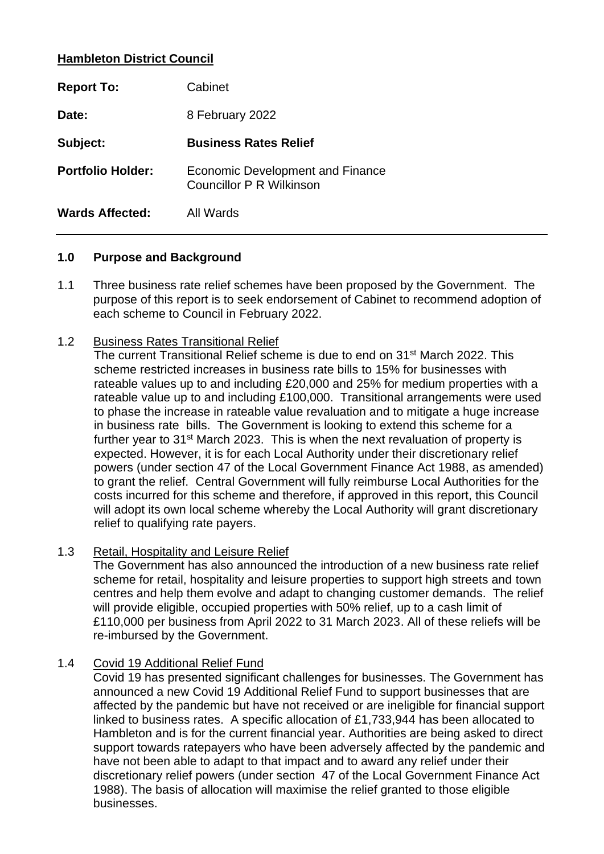# **Hambleton District Council**

| <b>Report To:</b>        | Cabinet                                                      |
|--------------------------|--------------------------------------------------------------|
| Date:                    | 8 February 2022                                              |
| Subject:                 | <b>Business Rates Relief</b>                                 |
| <b>Portfolio Holder:</b> | Economic Development and Finance<br>Councillor P R Wilkinson |
| Wards Affected:          | All Wards                                                    |

#### **1.0 Purpose and Background**

- 1.1 Three business rate relief schemes have been proposed by the Government. The purpose of this report is to seek endorsement of Cabinet to recommend adoption of each scheme to Council in February 2022.
- 1.2 Business Rates Transitional Relief

The current Transitional Relief scheme is due to end on 31<sup>st</sup> March 2022. This scheme restricted increases in business rate bills to 15% for businesses with rateable values up to and including £20,000 and 25% for medium properties with a rateable value up to and including £100,000. Transitional arrangements were used to phase the increase in rateable value revaluation and to mitigate a huge increase in business rate bills. The Government is looking to extend this scheme for a further year to 31<sup>st</sup> March 2023. This is when the next revaluation of property is expected. However, it is for each Local Authority under their discretionary relief powers (under section 47 of the Local Government Finance Act 1988, as amended) to grant the relief. Central Government will fully reimburse Local Authorities for the costs incurred for this scheme and therefore, if approved in this report, this Council will adopt its own local scheme whereby the Local Authority will grant discretionary relief to qualifying rate payers.

### 1.3 Retail, Hospitality and Leisure Relief

The Government has also announced the introduction of a new business rate relief scheme for retail, hospitality and leisure properties to support high streets and town centres and help them evolve and adapt to changing customer demands. The relief will provide eligible, occupied properties with 50% relief, up to a cash limit of £110,000 per business from April 2022 to 31 March 2023. All of these reliefs will be re-imbursed by the Government.

### 1.4 Covid 19 Additional Relief Fund

Covid 19 has presented significant challenges for businesses. The Government has announced a new Covid 19 Additional Relief Fund to support businesses that are affected by the pandemic but have not received or are ineligible for financial support linked to business rates. A specific allocation of £1,733,944 has been allocated to Hambleton and is for the current financial year. Authorities are being asked to direct support towards ratepayers who have been adversely affected by the pandemic and have not been able to adapt to that impact and to award any relief under their discretionary relief powers (under section 47 of the Local Government Finance Act 1988). The basis of allocation will maximise the relief granted to those eligible businesses.